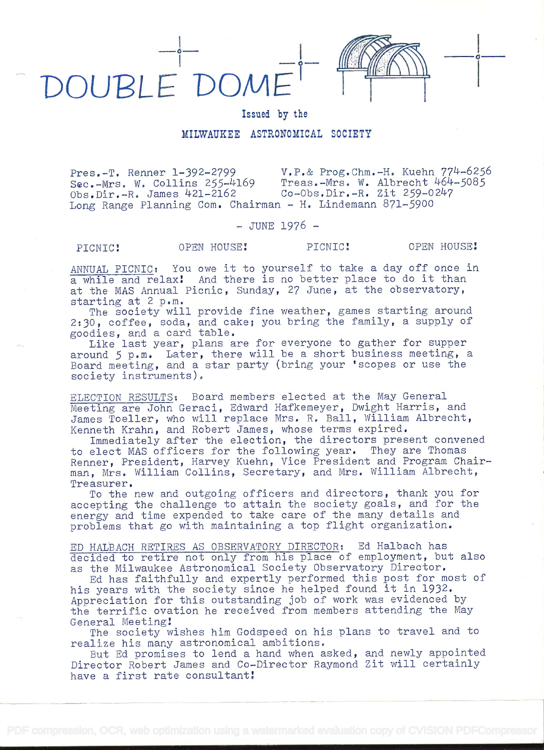

Issued by the

## MILWAUKEE ASTRONOMICAL SOCIETY

Pres.-T. Renner 1-392-2799 V.P.& Prog.Chm.-H. Kuehn 774-6256<br>Sec.-Mrs. W. Collins 255-4169 Treas.-Mrs. W. Albrecht 464-5085 Treas.-Mrs. W. Albrecht 464-5085<br>Co-Obs.Dir.-R. Zit 259-0247  $Obs.Dir.-R. James 421-2162$ Long Range Planning Com. Chairman - H. Lindemann 871-5900

- JUNE 1976 -

## PICNIC! OPEN HOUSE! PICNIC! OPEN HOUSE!

ANNUAL PICNIC: You owe it to yourself to take a day off once in a while and relax! And there is no better place to do it than at the MAS Annual Picnic, Sunday, 27 June, at the observatory, starting at 2 p.m.

The society will provide fine weather, games starting around 2:30, coffee, soda, and cake; you bring the family, a supply of goodies, and a card table.

Like last year, plans are for everyone to gather for supper around 5 p.m. Later, there will be a short business meeting, a Board meeting, and a star party (bring your 'scopes or use the society instruments).

ELECTION RESULTS: Board members elected at the May General Meeting are John Geraci, Edward Hafkemeyer, Dwight Harris, and James Toeller, who will replace Mrs. R. Ball, William Albrecht, Kenneth Krahn, and Robert James, whose terms expired.

Immediately after the election, the directors present convened to elect MAS officers for the following year. They are Thomas Renner, President, Harvey Kuehn, Vice President and Program Chairman, Mrs. William Collins, Secretary, and Mrs. William Albrecht, Treasurer.

To the new and outgoing officers and directors, thank you for accepting the challenge to attain the society goals, and for the energy and time expended to take care of the many details and problems that go with maintaining a top flight organization.

ED HALBACH RETIRES AS OBSERVATORY DIRECTOR: Ed Halbach has decided to retire not only from his place of employment, but also as the Milwaukee Astronomical Society Observatory Director.

Ed has faithfully and expertly performed this post for most of his years with the society since he helped found it in 1932. Appreciation for this outstanding job of work was evidenced by the terrific ovation he received from members attending the May General Meeting!

The society wishes him Godspeed on his plans to travel and to realize his many astronomical ambitions.

But Ed promises to lend a hand when asked, and newly appointed Director Robert James and Co-Director Raymond Zit will certainly have a first rate consultant!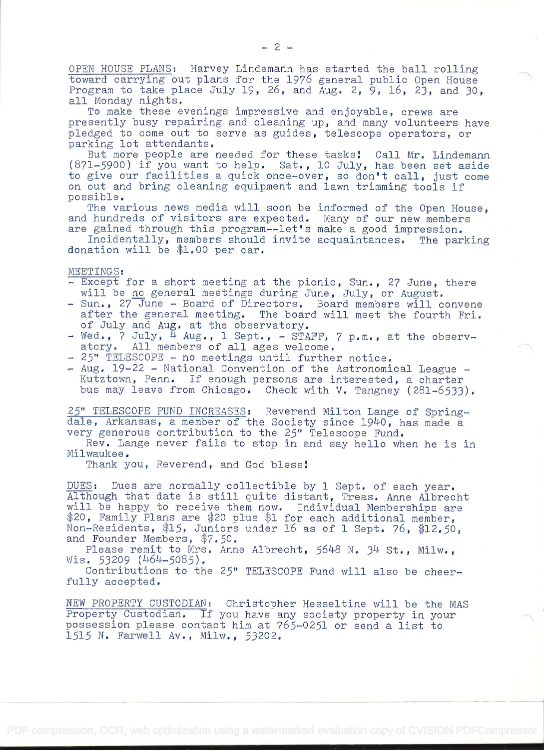OPEN HOUSE PLANS: Harvey Lindemann has started the ball rolling toward carrying out plans for the 1976 general public Open House Program to take place July 19, 26, and Aug. 2, 9, 16, 23, and 30, all Monday nights.

To make these evenings impressive and enjoyable, crews are presently busy repairing and cleaning up, and many volunteers have pledged to come out to serve as guides, telescope operators, or parking lot attendants.

But more people are needed for these tasks! Call Mr. Lindemann (871-5900) if you want to help. Sat., 10 July, has been set aside to give our facilities a quick once-over, so don't call, just come on out and bring cleaning equipment and lawn trimming tools if possible.

The various news media will soon be informed of the Open House, and hundreds of visitors are expected. Many of our new members

are gained through this program--let's make a good impression.<br>Incidentally, members should invite acquaintances. The parking Incidentally, members should invite acquaintances. donation will be  $$1.00$  per car.

MEETINGS:

- Except for a short meeting at the picnic, Sun., 27 June, there will be no general meetings during June, July, or August.
- Sun., 27 June Board of Directors. Board members will convene after the general meeting. The board will meet the fourth Fri. of July and Aug. at the observatory.
- Wed., 7 July,  $\frac{1}{4}$  Aug., 1 Sept., STAFF, 7 p.m., at the observ-<br>atory. All members of all ages welcome. All members of all ages welcome.
- 25" TELESCOPE no meetings until further notice.
- Aug. 19-22 National Convention of the Astronomical League Kutztown, Penn. If enough persons are interested, a charter bus may leave from Chicago. Check with V. Tangney (281-6533).

25" TELESCOPE FUND INCREASES: Reverend Milton Lange of Springdale, Arkansas, a member of the Society since 1940, has made a very generous contribution to the 25" Telescope Fund.

Rev. Lange never fails to stop in and say hello when he is in Milwaukee.

Thank you, Reverend, and God bless!

DUES: Dues are normally collectible by i Sept. of each year. Although that date is still quite distant, Treas. Anne Albrecht will be happy to receive them now. Individual Memberships are \$20, Family Plans are \$20 plus \$1 for each additional member, Non-Residents,  $$15$ , Juniors under 16 as of 1 Sept. 76.  $$12.50$ . and Founder Members, \$7.50.

Please remit to Mrs. Anne Albrecht,  $5648$  N.  $34$  St., Milw.,  $Wis. 53209 (464 - 5085).$ 

Contributions to the 25" TELESCOPE Fund will also be cheerfully accepted.

NEW PROPERTY CUSTODIAN: Christopher Hesseltine will be the MAS Property Custodian. If you have any society property in your possession please contact him at 765-0251 or send a list to 1515 N. Farwell Av., Milw., 53202.